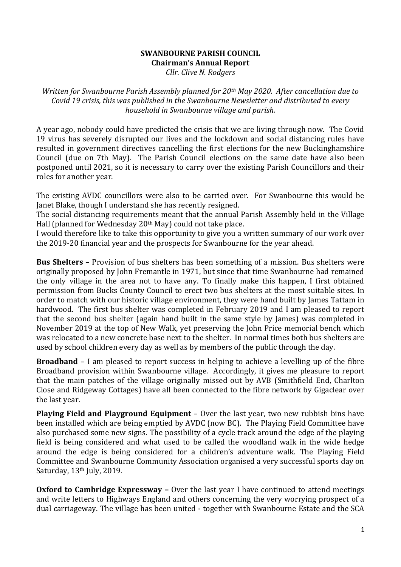## **SWANBOURNE PARISH COUNCIL Chairman's Annual Report**

*Cllr. Clive N. Rodgers*

*Written for Swanbourne Parish Assembly planned for 20th May 2020. After cancellation due to Covid 19 crisis, this was published in the Swanbourne Newsletter and distributed to every household in Swanbourne village and parish.*

A year ago, nobody could have predicted the crisis that we are living through now. The Covid 19 virus has severely disrupted our lives and the lockdown and social distancing rules have resulted in government directives cancelling the first elections for the new Buckinghamshire Council (due on 7th May). The Parish Council elections on the same date have also been postponed until 2021, so it is necessary to carry over the existing Parish Councillors and their roles for another year.

The existing AVDC councillors were also to be carried over. For Swanbourne this would be Janet Blake, though I understand she has recently resigned.

The social distancing requirements meant that the annual Parish Assembly held in the Village Hall (planned for Wednesday 20<sup>th</sup> May) could not take place.

I would therefore like to take this opportunity to give you a written summary of our work over the 2019-20 financial year and the prospects for Swanbourne for the year ahead.

**Bus Shelters** – Provision of bus shelters has been something of a mission. Bus shelters were originally proposed by John Fremantle in 1971, but since that time Swanbourne had remained the only village in the area not to have any. To finally make this happen, I first obtained permission from Bucks County Council to erect two bus shelters at the most suitable sites. In order to match with our historic village environment, they were hand built by James Tattam in hardwood. The first bus shelter was completed in February 2019 and I am pleased to report that the second bus shelter (again hand built in the same style by James) was completed in November 2019 at the top of New Walk, yet preserving the John Price memorial bench which was relocated to a new concrete base next to the shelter. In normal times both bus shelters are used by school children every day as well as by members of the public through the day.

**Broadband** – I am pleased to report success in helping to achieve a levelling up of the fibre Broadband provision within Swanbourne village. Accordingly, it gives me pleasure to report that the main patches of the village originally missed out by AVB (Smithfield End, Charlton Close and Ridgeway Cottages) have all been connected to the fibre network by Gigaclear over the last year.

**Playing Field and Playground Equipment** – Over the last year, two new rubbish bins have been installed which are being emptied by AVDC (now BC). The Playing Field Committee have also purchased some new signs. The possibility of a cycle track around the edge of the playing field is being considered and what used to be called the woodland walk in the wide hedge around the edge is being considered for a children's adventure walk. The Playing Field Committee and Swanbourne Community Association organised a very successful sports day on Saturday, 13<sup>th</sup> July, 2019.

**Oxford to Cambridge Expressway –** Over the last year I have continued to attend meetings and write letters to Highways England and others concerning the very worrying prospect of a dual carriageway. The village has been united - together with Swanbourne Estate and the SCA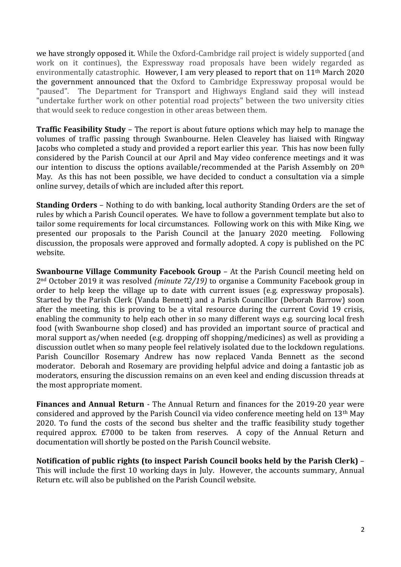we have strongly opposed it. While the Oxford-Cambridge rail project is widely supported (and work on it continues), the Expressway road proposals have been widely regarded as environmentally catastrophic. However, I am very pleased to report that on 11th March 2020 the government announced that the Oxford to Cambridge Expressway proposal would be "paused". The Department for Transport and Highways England said they will instead "undertake further work on other potential road projects" between the two university cities that would seek to reduce congestion in other areas between them.

**Traffic Feasibility Study** – The report is about future options which may help to manage the volumes of traffic passing through Swanbourne. Helen Cleaveley has liaised with Ringway Jacobs who completed a study and provided a report earlier this year. This has now been fully considered by the Parish Council at our April and May video conference meetings and it was our intention to discuss the options available/recommended at the Parish Assembly on 20th May. As this has not been possible, we have decided to conduct a consultation via a simple online survey, details of which are included after this report.

**Standing Orders** – Nothing to do with banking, local authority Standing Orders are the set of rules by which a Parish Council operates. We have to follow a government template but also to tailor some requirements for local circumstances. Following work on this with Mike King, we presented our proposals to the Parish Council at the January 2020 meeting. Following discussion, the proposals were approved and formally adopted. A copy is published on the PC website.

**Swanbourne Village Community Facebook Group** – At the Parish Council meeting held on 2nd October 2019 it was resolved *(minute 72/19)* to organise a Community Facebook group in order to help keep the village up to date with current issues (e.g. expressway proposals). Started by the Parish Clerk (Vanda Bennett) and a Parish Councillor (Deborah Barrow) soon after the meeting, this is proving to be a vital resource during the current Covid 19 crisis, enabling the community to help each other in so many different ways e.g. sourcing local fresh food (with Swanbourne shop closed) and has provided an important source of practical and moral support as/when needed (e.g. dropping off shopping/medicines) as well as providing a discussion outlet when so many people feel relatively isolated due to the lockdown regulations. Parish Councillor Rosemary Andrew has now replaced Vanda Bennett as the second moderator. Deborah and Rosemary are providing helpful advice and doing a fantastic job as moderators, ensuring the discussion remains on an even keel and ending discussion threads at the most appropriate moment.

**Finances and Annual Return** - The Annual Return and finances for the 2019-20 year were considered and approved by the Parish Council via video conference meeting held on 13th May 2020. To fund the costs of the second bus shelter and the traffic feasibility study together required approx. £7000 to be taken from reserves. A copy of the Annual Return and documentation will shortly be posted on the Parish Council website.

**Notification of public rights (to inspect Parish Council books held by the Parish Clerk)** – This will include the first 10 working days in July. However, the accounts summary, Annual Return etc. will also be published on the Parish Council website.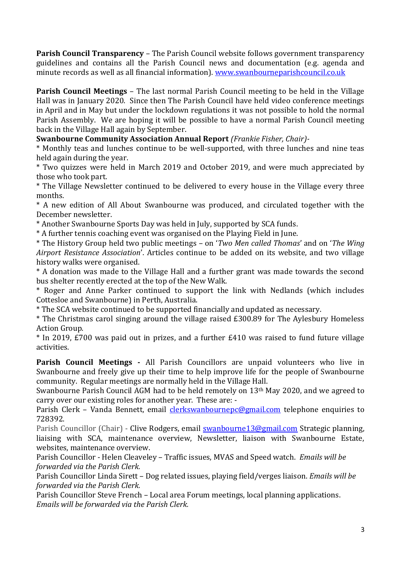**Parish Council Transparency** – The Parish Council website follows government transparency guidelines and contains all the Parish Council news and documentation (e.g. agenda and minute records as well as all financial information). [www.swanbourneparishcouncil.co.uk](http://www.swanbourneparishcouncil.co.uk/)

**Parish Council Meetings** – The last normal Parish Council meeting to be held in the Village Hall was in January 2020. Since then The Parish Council have held video conference meetings in April and in May but under the lockdown regulations it was not possible to hold the normal Parish Assembly. We are hoping it will be possible to have a normal Parish Council meeting back in the Village Hall again by September.

**Swanbourne Community Association Annual Report** *(Frankie Fisher, Chair)-*

\* Monthly teas and lunches continue to be well-supported, with three lunches and nine teas held again during the year.

\* Two quizzes were held in March 2019 and October 2019, and were much appreciated by those who took part.

\* The Village Newsletter continued to be delivered to every house in the Village every three months.

\* A new edition of All About Swanbourne was produced, and circulated together with the December newsletter.

\* Another Swanbourne Sports Day was held in July, supported by SCA funds.

\* A further tennis coaching event was organised on the Playing Field in June.

\* The History Group held two public meetings – on '*Two Men called Thomas*' and on '*The Wing Airport Resistance Association*'. Articles continue to be added on its website, and two village history walks were organised.

\* A donation was made to the Village Hall and a further grant was made towards the second bus shelter recently erected at the top of the New Walk.

\* Roger and Anne Parker continued to support the link with Nedlands (which includes Cottesloe and Swanbourne) in Perth, Australia.

\* The SCA website continued to be supported financially and updated as necessary.

\* The Christmas carol singing around the village raised £300.89 for The Aylesbury Homeless Action Group.

\* In 2019, £700 was paid out in prizes, and a further £410 was raised to fund future village activities.

**Parish Council Meetings -** All Parish Councillors are unpaid volunteers who live in Swanbourne and freely give up their time to help improve life for the people of Swanbourne community. Regular meetings are normally held in the Village Hall.

Swanbourne Parish Council AGM had to be held remotely on 13<sup>th</sup> May 2020, and we agreed to carry over our existing roles for another year. These are: -

Parish Clerk – Vanda Bennett, email [clerkswanbournepc@gmail.com](mailto:clerkswanbournepc@gmail.com) telephone enquiries to 728392.

Parish Councillor (Chair) - Clive Rodgers, email [swanbourne13@gmail.com](mailto:swanbourne13@gmail.com) Strategic planning, liaising with SCA, maintenance overview, Newsletter, liaison with Swanbourne Estate, websites, maintenance overview.

Parish Councillor - Helen Cleaveley – Traffic issues, MVAS and Speed watch. *Emails will be forwarded via the Parish Clerk.*

Parish Councillor Linda Sirett – Dog related issues, playing field/verges liaison. *Emails will be forwarded via the Parish Clerk.*

Parish Councillor Steve French – Local area Forum meetings, local planning applications. *Emails will be forwarded via the Parish Clerk.*